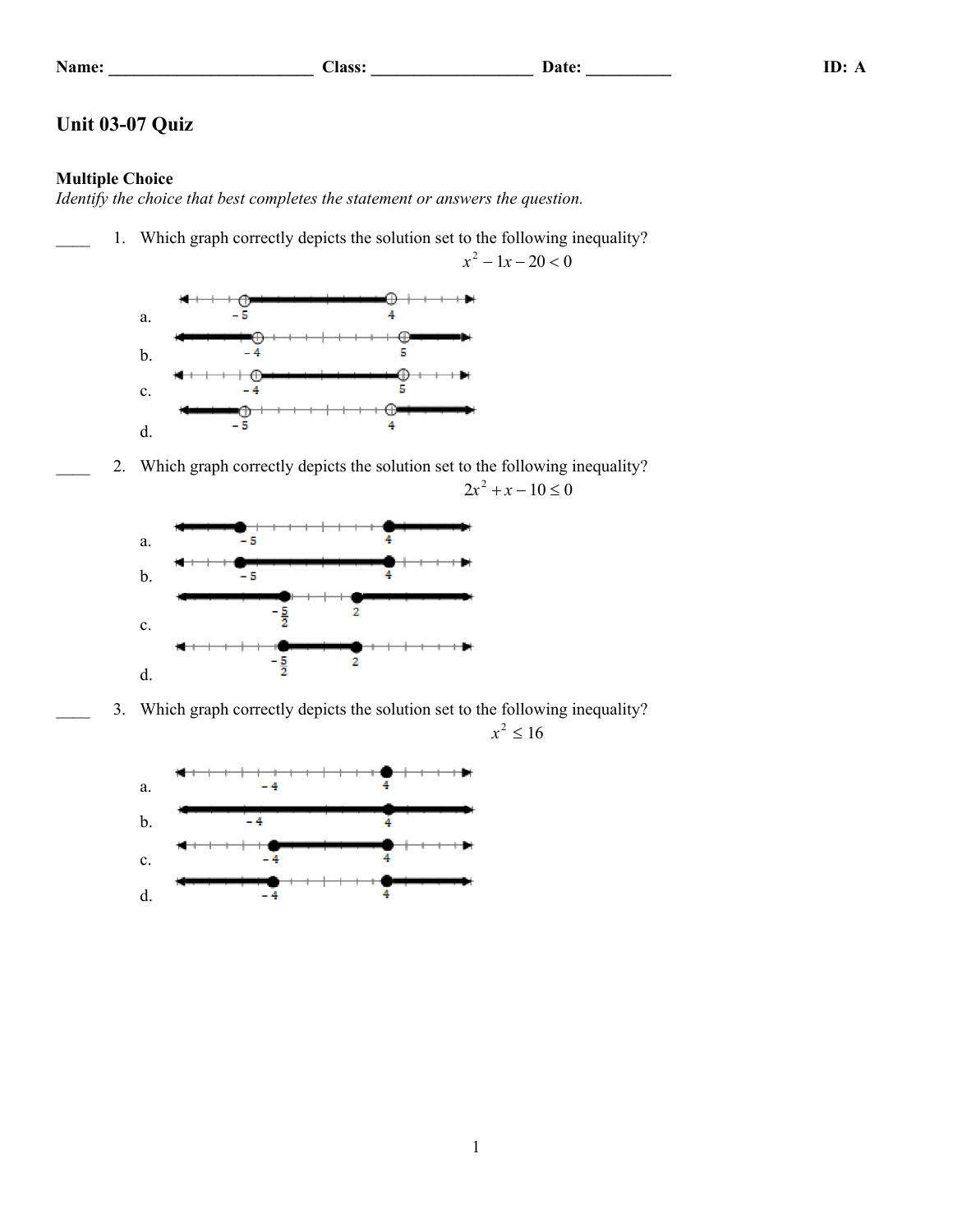| ame |
|-----|
|-----|

**Name: \_\_\_\_\_\_\_\_\_\_\_\_\_\_\_\_\_\_\_\_\_\_\_\_ Class: \_\_\_\_\_\_\_\_\_\_\_\_\_\_\_\_\_\_\_ Date: \_\_\_\_\_\_\_\_\_\_ ID: A**

## **Unit 03-07 Quiz**

## **Multiple Choice**

d.

4

*Identify the choice that best completes the statement or answers the question.*